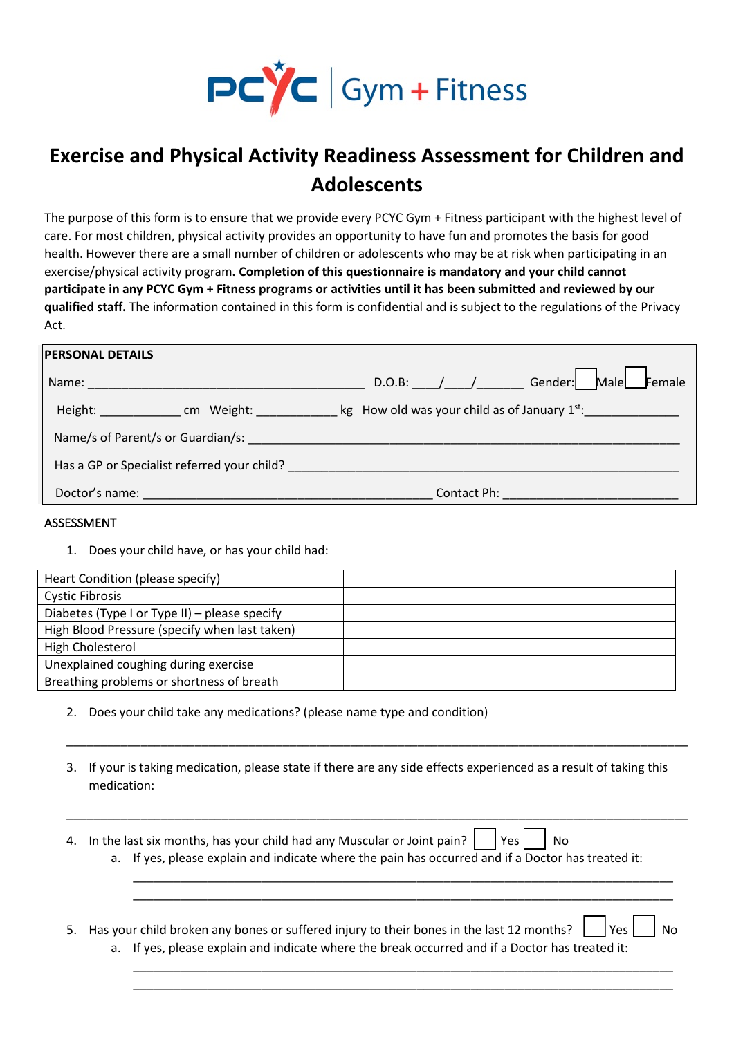

## **Exercise and Physical Activity Readiness Assessment for Children and Adolescents**

The purpose of this form is to ensure that we provide every PCYC Gym + Fitness participant with the highest level of care. For most children, physical activity provides an opportunity to have fun and promotes the basis for good health. However there are a small number of children or adolescents who may be at risk when participating in an exercise/physical activity program**. Completion of this questionnaire is mandatory and your child cannot participate in any PCYC Gym + Fitness programs or activities until it has been submitted and reviewed by our qualified staff.** The information contained in this form is confidential and is subject to the regulations of the Privacy Act.

| <b>PERSONAL DETAILS</b>                                                                                        |                                                            |
|----------------------------------------------------------------------------------------------------------------|------------------------------------------------------------|
|                                                                                                                | D.O.B: / / Gender: Male<br>Female                          |
| Height: Communication Communication Communication Communication Communication Communication Communication Comm | $\frac{1}{2}$ kg How old was your child as of January 1st: |
| Name/s of Parent/s or Guardian/s:                                                                              |                                                            |
| Has a GP or Specialist referred your child?                                                                    |                                                            |
| Doctor's name:                                                                                                 | Contact Ph:                                                |

## ASSESSMENT

1. Does your child have, or has your child had:

| Heart Condition (please specify)              |  |
|-----------------------------------------------|--|
| <b>Cystic Fibrosis</b>                        |  |
| Diabetes (Type I or Type II) – please specify |  |
| High Blood Pressure (specify when last taken) |  |
| High Cholesterol                              |  |
| Unexplained coughing during exercise          |  |
| Breathing problems or shortness of breath     |  |

- 2. Does your child take any medications? (please name type and condition)
- 3. If your is taking medication, please state if there are any side effects experienced as a result of taking this medication:

\_\_\_\_\_\_\_\_\_\_\_\_\_\_\_\_\_\_\_\_\_\_\_\_\_\_\_\_\_\_\_\_\_\_\_\_\_\_\_\_\_\_\_\_\_\_\_\_\_\_\_\_\_\_\_\_\_\_\_\_\_\_\_\_\_\_\_\_\_\_\_\_\_\_\_\_\_\_\_\_\_\_\_\_\_\_\_\_\_\_\_\_

\_\_\_\_\_\_\_\_\_\_\_\_\_\_\_\_\_\_\_\_\_\_\_\_\_\_\_\_\_\_\_\_\_\_\_\_\_\_\_\_\_\_\_\_\_\_\_\_\_\_\_\_\_\_\_\_\_\_\_\_\_\_\_\_\_\_\_\_\_\_\_\_\_\_\_\_\_\_\_\_\_\_\_\_\_\_\_\_\_\_\_\_

\_\_\_\_\_\_\_\_\_\_\_\_\_\_\_\_\_\_\_\_\_\_\_\_\_\_\_\_\_\_\_\_\_\_\_\_\_\_\_\_\_\_\_\_\_\_\_\_\_\_\_\_\_\_\_\_\_\_\_\_\_\_\_\_\_\_\_\_\_\_\_\_\_\_\_\_\_\_\_\_ \_\_\_\_\_\_\_\_\_\_\_\_\_\_\_\_\_\_\_\_\_\_\_\_\_\_\_\_\_\_\_\_\_\_\_\_\_\_\_\_\_\_\_\_\_\_\_\_\_\_\_\_\_\_\_\_\_\_\_\_\_\_\_\_\_\_\_\_\_\_\_\_\_\_\_\_\_\_\_\_

\_\_\_\_\_\_\_\_\_\_\_\_\_\_\_\_\_\_\_\_\_\_\_\_\_\_\_\_\_\_\_\_\_\_\_\_\_\_\_\_\_\_\_\_\_\_\_\_\_\_\_\_\_\_\_\_\_\_\_\_\_\_\_\_\_\_\_\_\_\_\_\_\_\_\_\_\_\_\_\_ \_\_\_\_\_\_\_\_\_\_\_\_\_\_\_\_\_\_\_\_\_\_\_\_\_\_\_\_\_\_\_\_\_\_\_\_\_\_\_\_\_\_\_\_\_\_\_\_\_\_\_\_\_\_\_\_\_\_\_\_\_\_\_\_\_\_\_\_\_\_\_\_\_\_\_\_\_\_\_\_

- 4. In the last six months, has your child had any Muscular or Joint pain?  $\vert \vert$  Yes  $\vert$  No a. If yes, please explain and indicate where the pain has occurred and if a Doctor has treated it:
- 5. Has your child broken any bones or suffered injury to their bones in the last 12 months?  $\vert \vert$  Yes  $\vert \vert$  No a. If yes, please explain and indicate where the break occurred and if a Doctor has treated it: